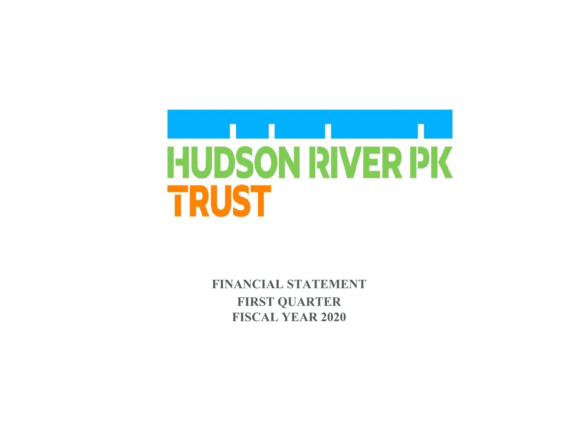

 **FINANCIAL STATEMENT FIRST QUARTER FISCAL YEAR 2020**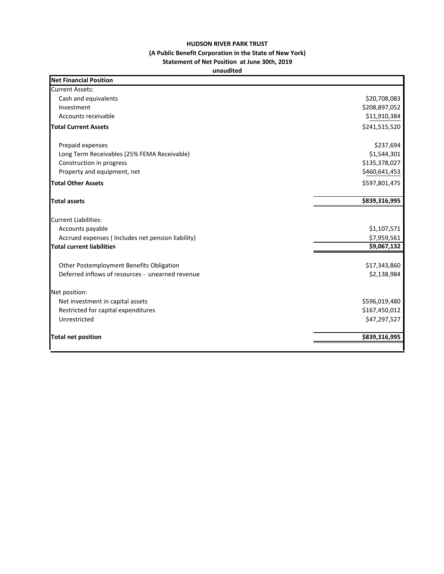## **HUDSON RIVER PARK TRUST (A Public Benefit Corporation in the State of New York) Statement of Net Position at June 30th, 2019**

## **unaudited**

| <b>Net Financial Position</b>                     |               |
|---------------------------------------------------|---------------|
| <b>Current Assets:</b>                            |               |
| Cash and equivalents                              | \$20,708,083  |
| Investment                                        | \$208,897,052 |
| Accounts receivable                               | \$11,910,384  |
| <b>Total Current Assets</b>                       | \$241,515,520 |
| Prepaid expenses                                  | \$237,694     |
| Long Term Receivables (25% FEMA Receivable)       | \$1,544,301   |
| Construction in progress                          | \$135,378,027 |
| Property and equipment, net                       | \$460,641,453 |
| <b>Total Other Assets</b>                         | \$597,801,475 |
| <b>Total assets</b>                               | \$839,316,995 |
| <b>Current Liabilities:</b>                       |               |
| Accounts payable                                  | \$1,107,571   |
| Accrued expenses (Includes net pension liability) | \$7,959,561   |
| <b>Total current liabilities</b>                  | \$9,067,132   |
| Other Postemployment Benefits Obligation          | \$17,343,860  |
| Deferred inflows of resources - unearned revenue  | \$2,138,984   |
| Net position:                                     |               |
| Net investment in capital assets                  | \$596,019,480 |
| Restricted for capital expenditures               | \$167,450,012 |
| Unrestricted                                      | \$47,297,527  |
| <b>Total net position</b>                         | \$839,316,995 |